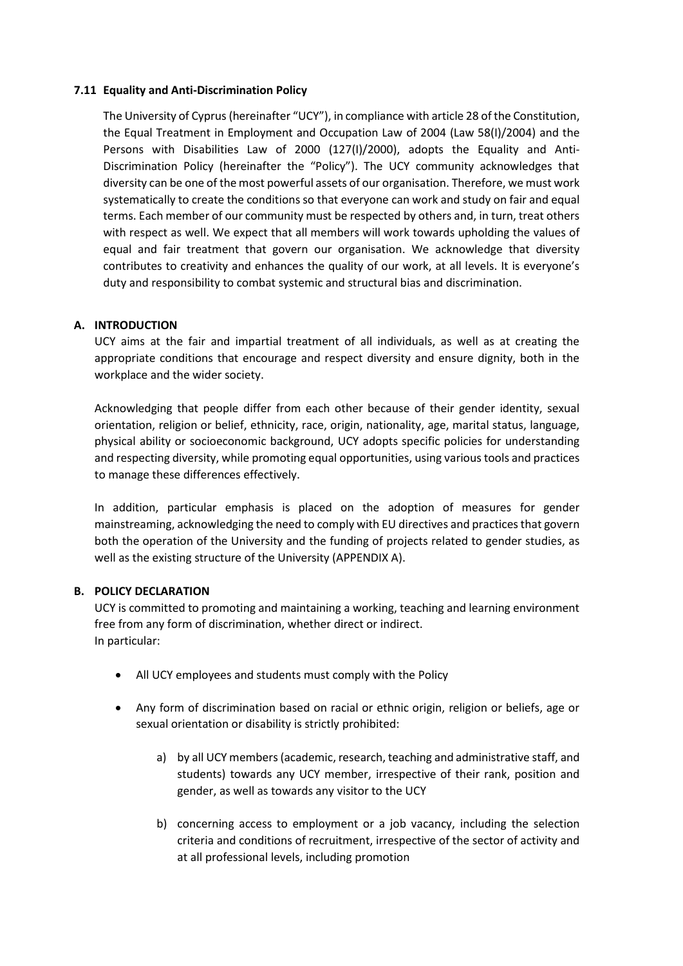#### **7.11 Equality and Anti-Discrimination Policy**

The University of Cyprus (hereinafter "UCY"), in compliance with article 28 of the Constitution, the Equal Treatment in Employment and Occupation Law of 2004 (Law 58(I)/2004) and the Persons with Disabilities Law of 2000 (127(I)/2000), adopts the Equality and Anti-Discrimination Policy (hereinafter the "Policy"). The UCY community acknowledges that diversity can be one of the most powerful assets of our organisation. Therefore, we must work systematically to create the conditions so that everyone can work and study on fair and equal terms. Each member of our community must be respected by others and, in turn, treat others with respect as well. We expect that all members will work towards upholding the values of equal and fair treatment that govern our organisation. We acknowledge that diversity contributes to creativity and enhances the quality of our work, at all levels. It is everyone's duty and responsibility to combat systemic and structural bias and discrimination.

#### **A. INTRODUCTION**

UCY aims at the fair and impartial treatment of all individuals, as well as at creating the appropriate conditions that encourage and respect diversity and ensure dignity, both in the workplace and the wider society.

Acknowledging that people differ from each other because of their gender identity, sexual orientation, religion or belief, ethnicity, race, origin, nationality, age, marital status, language, physical ability or socioeconomic background, UCY adopts specific policies for understanding and respecting diversity, while promoting equal opportunities, using various tools and practices to manage these differences effectively.

In addition, particular emphasis is placed on the adoption of measures for gender mainstreaming, acknowledging the need to comply with EU directives and practices that govern both the operation of the University and the funding of projects related to gender studies, as well as the existing structure of the University (APPENDIX A).

### **B. POLICY DECLARATION**

UCY is committed to promoting and maintaining a working, teaching and learning environment free from any form of discrimination, whether direct or indirect. In particular:

- All UCY employees and students must comply with the Policy
- Any form of discrimination based on racial or ethnic origin, religion or beliefs, age or sexual orientation or disability is strictly prohibited:
	- a) by all UCY members(academic, research, teaching and administrative staff, and students) towards any UCY member, irrespective of their rank, position and gender, as well as towards any visitor to the UCY
	- b) concerning access to employment or a job vacancy, including the selection criteria and conditions of recruitment, irrespective of the sector of activity and at all professional levels, including promotion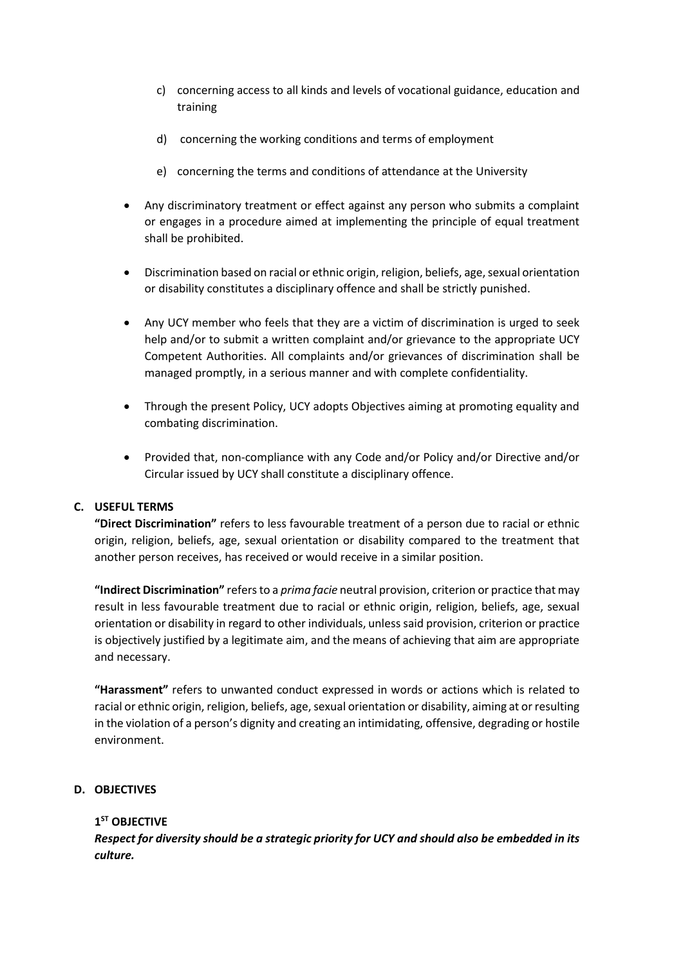- c) concerning access to all kinds and levels of vocational guidance, education and training
- d) concerning the working conditions and terms of employment
- e) concerning the terms and conditions of attendance at the University
- Any discriminatory treatment or effect against any person who submits a complaint or engages in a procedure aimed at implementing the principle of equal treatment shall be prohibited.
- Discrimination based on racial or ethnic origin, religion, beliefs, age, sexual orientation or disability constitutes a disciplinary offence and shall be strictly punished.
- Any UCY member who feels that they are a victim of discrimination is urged to seek help and/or to submit a written complaint and/or grievance to the appropriate UCY Competent Authorities. All complaints and/or grievances of discrimination shall be managed promptly, in a serious manner and with complete confidentiality.
- Through the present Policy, UCY adopts Objectives aiming at promoting equality and combating discrimination.
- Provided that, non-compliance with any Code and/or Policy and/or Directive and/or Circular issued by UCY shall constitute a disciplinary offence.

### **C. USEFUL TERMS**

**"Direct Discrimination"** refers to less favourable treatment of a person due to racial or ethnic origin, religion, beliefs, age, sexual orientation or disability compared to the treatment that another person receives, has received or would receive in a similar position.

**"Indirect Discrimination"** refers to a *prima facie* neutral provision, criterion or practice that may result in less favourable treatment due to racial or ethnic origin, religion, beliefs, age, sexual orientation or disability in regard to other individuals, unless said provision, criterion or practice is objectively justified by a legitimate aim, and the means of achieving that aim are appropriate and necessary.

**"Harassment"** refers to unwanted conduct expressed in words or actions which is related to racial or ethnic origin, religion, beliefs, age, sexual orientation or disability, aiming at or resulting in the violation of a person's dignity and creating an intimidating, offensive, degrading or hostile environment.

### **D. OBJECTIVES**

# **1 ST OBJECTIVE**

*Respect for diversity should be a strategic priority for UCY and should also be embedded in its culture.*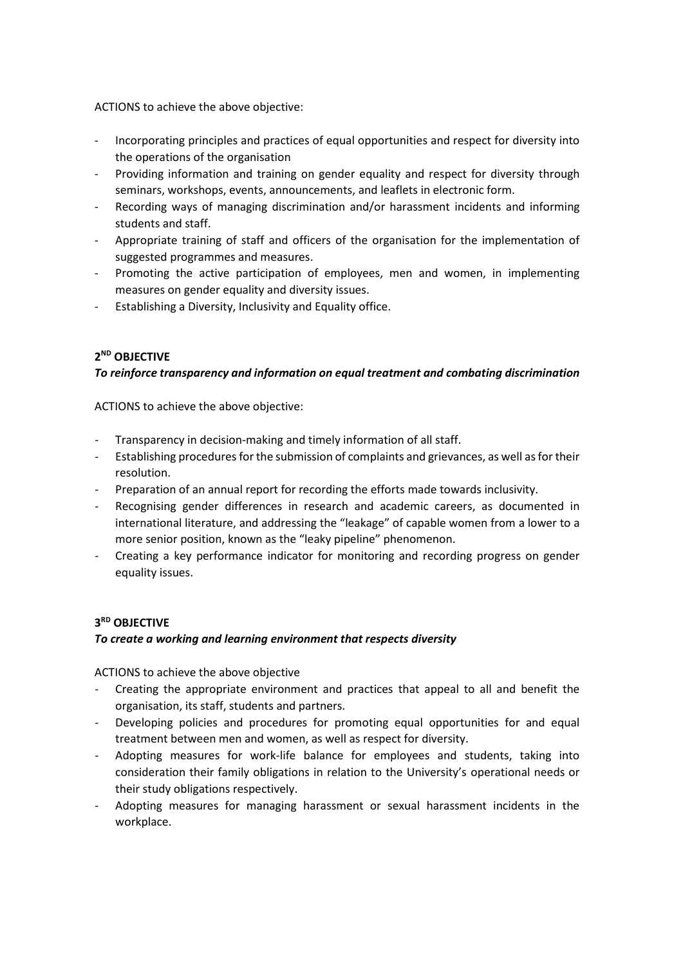ACTIONS to achieve the above objective:

- Incorporating principles and practices of equal opportunities and respect for diversity into the operations of the organisation
- Providing information and training on gender equality and respect for diversity through seminars, workshops, events, announcements, and leaflets in electronic form.
- Recording ways of managing discrimination and/or harassment incidents and informing students and staff.
- Appropriate training of staff and officers of the organisation for the implementation of suggested programmes and measures.
- Promoting the active participation of employees, men and women, in implementing measures on gender equality and diversity issues.
- Establishing a Diversity, Inclusivity and Equality office.

# **2 ND OBJECTIVE**

### *To reinforce transparency and information on equal treatment and combating discrimination*

ACTIONS to achieve the above objective:

- Transparency in decision-making and timely information of all staff.
- Establishing procedures for the submission of complaints and grievances, as well as for their resolution.
- Preparation of an annual report for recording the efforts made towards inclusivity.
- Recognising gender differences in research and academic careers, as documented in international literature, and addressing the "leakage" of capable women from a lower to a more senior position, known as the "leaky pipeline" phenomenon.
- Creating a key performance indicator for monitoring and recording progress on gender equality issues.

#### **3 RD OBJECTIVE**

#### *To create a working and learning environment that respects diversity*

ACTIONS to achieve the above objective

- Creating the appropriate environment and practices that appeal to all and benefit the organisation, its staff, students and partners.
- Developing policies and procedures for promoting equal opportunities for and equal treatment between men and women, as well as respect for diversity.
- Adopting measures for work-life balance for employees and students, taking into consideration their family obligations in relation to the University's operational needs or their study obligations respectively.
- Adopting measures for managing harassment or sexual harassment incidents in the workplace.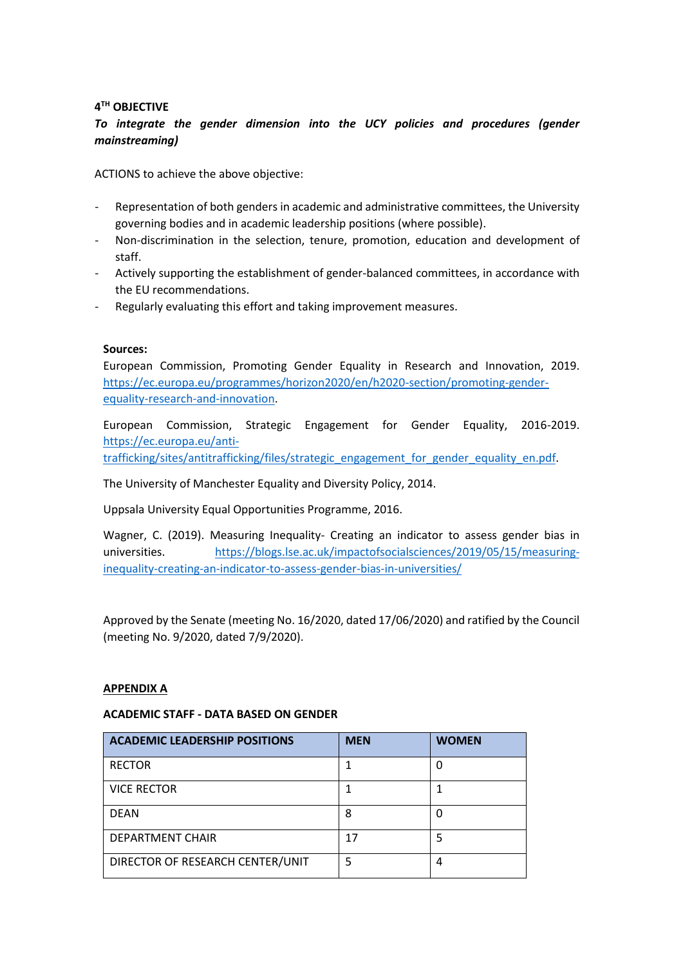# **4 TH OBJECTIVE**

# *To integrate the gender dimension into the UCY policies and procedures (gender mainstreaming)*

ACTIONS to achieve the above objective:

- Representation of both genders in academic and administrative committees, the University governing bodies and in academic leadership positions (where possible).
- Non-discrimination in the selection, tenure, promotion, education and development of staff.
- Actively supporting the establishment of gender-balanced committees, in accordance with the EU recommendations.
- Regularly evaluating this effort and taking improvement measures.

#### **Sources:**

European Commission, Promoting Gender Equality in Research and Innovation, 2019. [https://ec.europa.eu/programmes/horizon2020/en/h2020-section/promoting-gender](https://ec.europa.eu/programmes/horizon2020/en/h2020-section/promoting-gender-equality-research-and-innovation)[equality-research-and-innovation.](https://ec.europa.eu/programmes/horizon2020/en/h2020-section/promoting-gender-equality-research-and-innovation)

European Commission, Strategic Engagement for Gender Equality, 2016-2019. [https://ec.europa.eu/anti-](https://ec.europa.eu/anti-trafficking/sites/antitrafficking/files/strategic_engagement_for_gender_equality_en.pdf)

[trafficking/sites/antitrafficking/files/strategic\\_engagement\\_for\\_gender\\_equality\\_en.pdf.](https://ec.europa.eu/anti-trafficking/sites/antitrafficking/files/strategic_engagement_for_gender_equality_en.pdf)

The University of Manchester Equality and Diversity Policy, 2014.

Uppsala University Equal Opportunities Programme, 2016.

Wagner, C. (2019). Measuring Inequality- Creating an indicator to assess gender bias in universities. [https://blogs.lse.ac.uk/impactofsocialsciences/2019/05/15/measuring](https://blogs.lse.ac.uk/impactofsocialsciences/2019/05/15/measuring-inequality-creating-an-indicator-to-assess-gender-bias-in-universities/)[inequality-creating-an-indicator-to-assess-gender-bias-in-universities/](https://blogs.lse.ac.uk/impactofsocialsciences/2019/05/15/measuring-inequality-creating-an-indicator-to-assess-gender-bias-in-universities/)

Approved by the Senate (meeting No. 16/2020, dated 17/06/2020) and ratified by the Council (meeting No. 9/2020, dated 7/9/2020).

#### **APPENDIX A**

#### **ACADEMIC STAFF - DATA BASED ON GENDER**

| <b>ACADEMIC LEADERSHIP POSITIONS</b> | <b>MEN</b> | <b>WOMEN</b> |
|--------------------------------------|------------|--------------|
| <b>RECTOR</b>                        |            |              |
| <b>VICE RECTOR</b>                   |            |              |
| <b>DEAN</b>                          | 8          |              |
| <b>DEPARTMENT CHAIR</b>              | 17         |              |
| DIRECTOR OF RESEARCH CENTER/UNIT     | 5          | 4            |